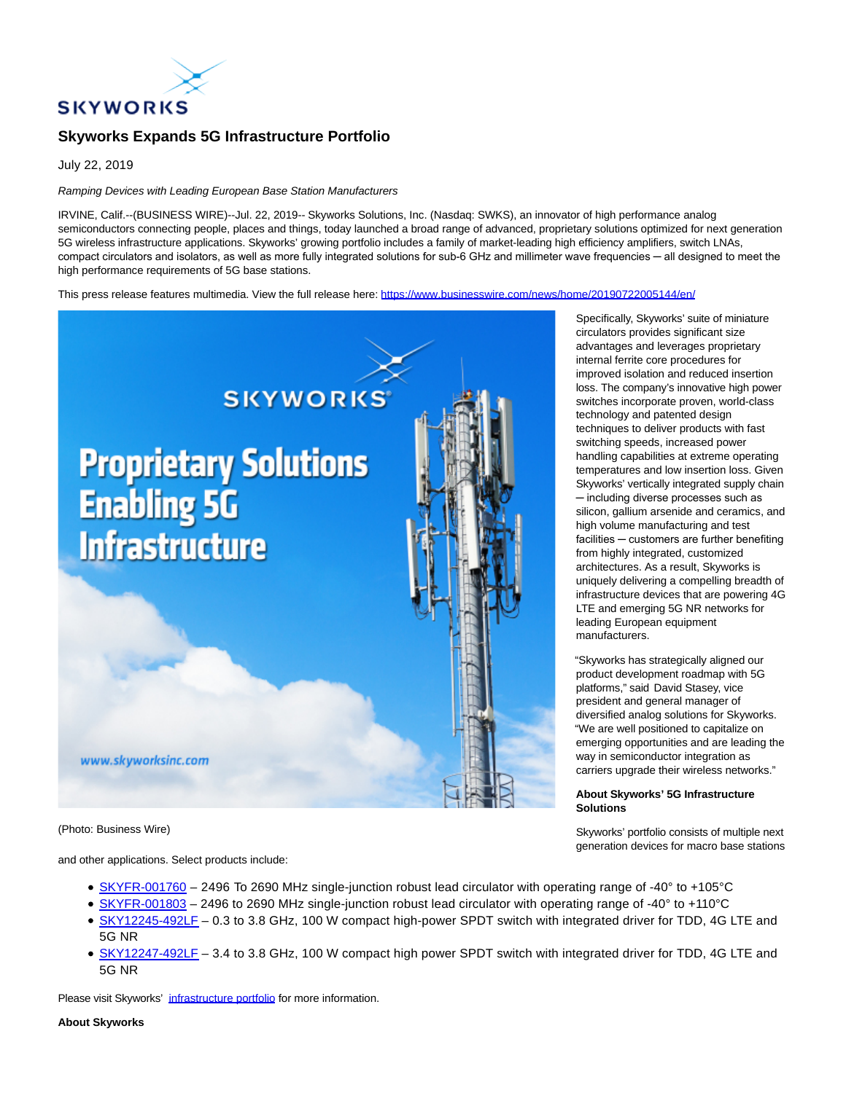

# **Skyworks Expands 5G Infrastructure Portfolio**

July 22, 2019

## Ramping Devices with Leading European Base Station Manufacturers

IRVINE, Calif.--(BUSINESS WIRE)--Jul. 22, 2019-- Skyworks Solutions, Inc. (Nasdaq: SWKS), an innovator of high performance analog semiconductors connecting people, places and things, today launched a broad range of advanced, proprietary solutions optimized for next generation 5G wireless infrastructure applications. Skyworks' growing portfolio includes a family of market-leading high efficiency amplifiers, switch LNAs, compact circulators and isolators, as well as more fully integrated solutions for sub-6 GHz and millimeter wave frequencies — all designed to meet the high performance requirements of 5G base stations.

This press release features multimedia. View the full release here:<https://www.businesswire.com/news/home/20190722005144/en/>



(Photo: Business Wire)

and other applications. Select products include:

- [SKYFR-001760 –](https://cts.businesswire.com/ct/CT?id=smartlink&url=http%3A%2F%2Fwww.skyworksinc.com%2FProduct%2F4213%2FSKYFR-001760%3FIsProduct%3Dtrue%3Fsource%3Dpr&esheet=52016161&newsitemid=20190722005144&lan=en-US&anchor=SKYFR-001760&index=1&md5=c68935d4333cce56f39946f55a080e79) 2496 To 2690 MHz single-junction robust lead circulator with operating range of -40° to +105°C
- [SKYFR-001803 –](https://cts.businesswire.com/ct/CT?id=smartlink&url=http%3A%2F%2Fwww.skyworksinc.com%2FProduct%2F4220%2FSKYFR-001803%3FIsProduct%3Dtrue%3Fsource%3Dpr&esheet=52016161&newsitemid=20190722005144&lan=en-US&anchor=SKYFR-001803&index=2&md5=67b6ac860a8a14fc771f6271cb694033) 2496 to 2690 MHz single-junction robust lead circulator with operating range of -40° to +110°C
- [SKY12245-492LF](https://cts.businesswire.com/ct/CT?id=smartlink&url=http%3A%2F%2Fwww.skyworksinc.com%2FProduct%2F4196%2FSKY12245-492LF%3Fsource%3Dpr&esheet=52016161&newsitemid=20190722005144&lan=en-US&anchor=SKY12245-492LF&index=3&md5=3b844bfd8ea139ffc8b9aa0c31d0f903)  0.3 to 3.8 GHz, 100 W compact high-power SPDT switch with integrated driver for TDD, 4G LTE and 5G NR
- [SKY12247-492LF](https://cts.businesswire.com/ct/CT?id=smartlink&url=http%3A%2F%2Fwww.skyworksinc.com%2FProduct%2F4205%2FSKY12247-492LF%3Fsource%3Dpr&esheet=52016161&newsitemid=20190722005144&lan=en-US&anchor=SKY12247-492LF&index=4&md5=58f54631ab46cfb1fbeb893c98ff2f86)  3.4 to 3.8 GHz, 100 W compact high power SPDT switch with integrated driver for TDD, 4G LTE and 5G NR

Please visit Skyworks' [infrastructure portfolio f](https://cts.businesswire.com/ct/CT?id=smartlink&url=http%3A%2F%2Fwww.skyworksinc.com%2FMarket%2F22%2FWireless_Infrastructure%3Fsource%3Dpr&esheet=52016161&newsitemid=20190722005144&lan=en-US&anchor=infrastructure+portfolio&index=5&md5=f015b5e772fd1e038b58624085d88035)or more information.

#### **About Skyworks**

Specifically, Skyworks' suite of miniature circulators provides significant size advantages and leverages proprietary internal ferrite core procedures for improved isolation and reduced insertion loss. The company's innovative high power switches incorporate proven, world-class technology and patented design techniques to deliver products with fast switching speeds, increased power handling capabilities at extreme operating temperatures and low insertion loss. Given Skyworks' vertically integrated supply chain ─ including diverse processes such as silicon, gallium arsenide and ceramics, and high volume manufacturing and test facilities — customers are further benefiting from highly integrated, customized architectures. As a result, Skyworks is uniquely delivering a compelling breadth of infrastructure devices that are powering 4G LTE and emerging 5G NR networks for leading European equipment manufacturers.

"Skyworks has strategically aligned our product development roadmap with 5G platforms," said David Stasey, vice president and general manager of diversified analog solutions for Skyworks. "We are well positioned to capitalize on emerging opportunities and are leading the way in semiconductor integration as carriers upgrade their wireless networks."

### **About Skyworks' 5G Infrastructure Solutions**

Skyworks' portfolio consists of multiple next generation devices for macro base stations